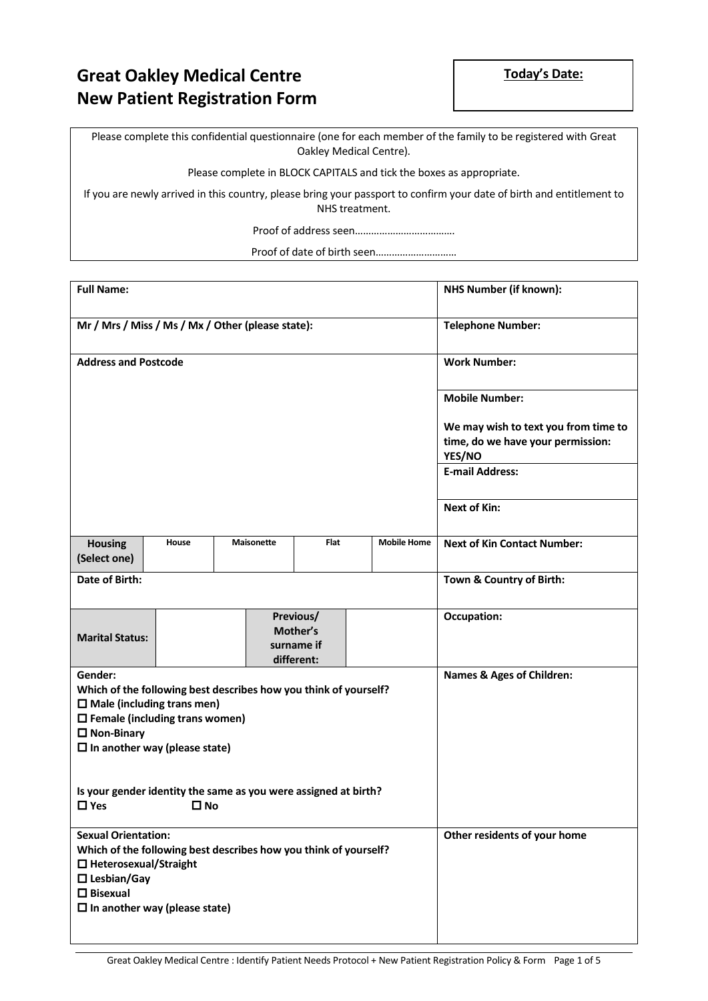## **Great Oakley Medical Centre New Patient Registration Form**

Please complete this confidential questionnaire (one for each member of the family to be registered with Great Oakley Medical Centre).

Please complete in BLOCK CAPITALS and tick the boxes as appropriate.

If you are newly arrived in this country, please bring your passport to confirm your date of birth and entitlement to NHS treatment.

Proof of address seen……………………………….

Proof of date of birth seen…………………………

| <b>Full Name:</b>                                                                                         |                                                                                                                                                                                                 | <b>NHS Number (if known):</b>        |             |                    |                                             |  |  |
|-----------------------------------------------------------------------------------------------------------|-------------------------------------------------------------------------------------------------------------------------------------------------------------------------------------------------|--------------------------------------|-------------|--------------------|---------------------------------------------|--|--|
|                                                                                                           | Mr / Mrs / Miss / Ms / Mx / Other (please state):                                                                                                                                               | <b>Telephone Number:</b>             |             |                    |                                             |  |  |
| <b>Address and Postcode</b>                                                                               |                                                                                                                                                                                                 |                                      |             |                    | <b>Work Number:</b>                         |  |  |
|                                                                                                           |                                                                                                                                                                                                 |                                      |             |                    | <b>Mobile Number:</b>                       |  |  |
|                                                                                                           |                                                                                                                                                                                                 |                                      |             |                    | We may wish to text you from time to        |  |  |
|                                                                                                           |                                                                                                                                                                                                 |                                      |             |                    | time, do we have your permission:<br>YES/NO |  |  |
|                                                                                                           |                                                                                                                                                                                                 | <b>E-mail Address:</b>               |             |                    |                                             |  |  |
|                                                                                                           |                                                                                                                                                                                                 |                                      |             |                    | <b>Next of Kin:</b>                         |  |  |
| <b>Housing</b><br>(Select one)                                                                            | House                                                                                                                                                                                           | <b>Maisonette</b>                    | <b>Flat</b> | <b>Mobile Home</b> | <b>Next of Kin Contact Number:</b>          |  |  |
| Date of Birth:                                                                                            |                                                                                                                                                                                                 |                                      |             |                    | Town & Country of Birth:                    |  |  |
| Previous/<br>Mother's<br><b>Marital Status:</b><br>surname if<br>different:                               |                                                                                                                                                                                                 |                                      |             |                    | <b>Occupation:</b>                          |  |  |
| Gender:<br>$\square$ Non-Binary                                                                           | Which of the following best describes how you think of yourself?<br>$\square$ Male (including trans men)<br>$\square$ Female (including trans women)<br>$\square$ In another way (please state) | <b>Names &amp; Ages of Children:</b> |             |                    |                                             |  |  |
| $\Box$ Yes                                                                                                | Is your gender identity the same as you were assigned at birth?<br>$\square$ No                                                                                                                 |                                      |             |                    |                                             |  |  |
| <b>Sexual Orientation:</b><br>$\Box$ Heterosexual/Straight<br>$\square$ Lesbian/Gay<br>$\square$ Bisexual | Which of the following best describes how you think of yourself?<br>$\square$ In another way (please state)                                                                                     | Other residents of your home         |             |                    |                                             |  |  |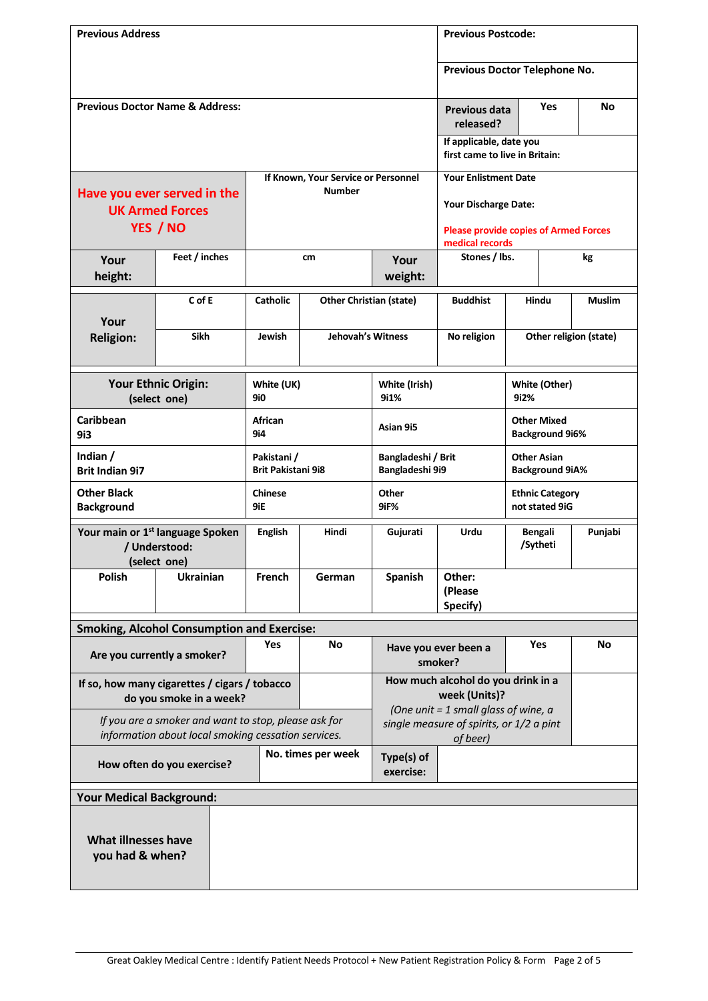| <b>Previous Address</b>                       |                                                                                                             |                                          |                                     |                                                                                                |                                                                 | <b>Previous Postcode:</b>                    |              |               |  |
|-----------------------------------------------|-------------------------------------------------------------------------------------------------------------|------------------------------------------|-------------------------------------|------------------------------------------------------------------------------------------------|-----------------------------------------------------------------|----------------------------------------------|--------------|---------------|--|
|                                               |                                                                                                             |                                          |                                     |                                                                                                |                                                                 | Previous Doctor Telephone No.                |              |               |  |
|                                               |                                                                                                             |                                          |                                     |                                                                                                |                                                                 |                                              |              |               |  |
|                                               | <b>Previous Doctor Name &amp; Address:</b>                                                                  |                                          |                                     |                                                                                                |                                                                 | <b>Previous data</b>                         | <b>Yes</b>   | No            |  |
|                                               |                                                                                                             |                                          |                                     |                                                                                                | If applicable, date you<br>first came to live in Britain:       |                                              |              |               |  |
|                                               |                                                                                                             |                                          | If Known, Your Service or Personnel | <b>Your Enlistment Date</b>                                                                    |                                                                 |                                              |              |               |  |
|                                               | Have you ever served in the<br><b>UK Armed Forces</b>                                                       | <b>Number</b>                            |                                     |                                                                                                | Your Discharge Date:                                            |                                              |              |               |  |
|                                               | YES / NO                                                                                                    |                                          |                                     |                                                                                                | <b>Please provide copies of Armed Forces</b><br>medical records |                                              |              |               |  |
| Your<br>height:                               | Feet / inches                                                                                               |                                          | cm                                  | Your<br>weight:                                                                                | Stones / lbs.<br>kg                                             |                                              |              |               |  |
|                                               | $C$ of E                                                                                                    | <b>Catholic</b>                          | <b>Other Christian (state)</b>      |                                                                                                | <b>Buddhist</b>                                                 |                                              | <b>Hindu</b> | <b>Muslim</b> |  |
| Your<br><b>Religion:</b>                      | <b>Sikh</b>                                                                                                 | <b>Jehovah's Witness</b><br>Jewish       |                                     |                                                                                                | No religion                                                     | Other religion (state)                       |              |               |  |
|                                               | Your Ethnic Origin:<br>(select one)                                                                         | White (UK)<br>9i0                        |                                     | White (Irish)<br>9i1%                                                                          |                                                                 | White (Other)<br>9i2%                        |              |               |  |
| <b>Caribbean</b><br>9i3                       |                                                                                                             | <b>African</b><br>9i4                    |                                     | Asian 9i5                                                                                      |                                                                 | <b>Other Mixed</b><br><b>Background 9i6%</b> |              |               |  |
| Indian /<br><b>Brit Indian 9i7</b>            |                                                                                                             | Pakistani /<br><b>Brit Pakistani 9i8</b> |                                     | Bangladeshi / Brit<br>Bangladeshi 9i9                                                          |                                                                 | <b>Other Asian</b><br><b>Background 9iA%</b> |              |               |  |
| <b>Other Black</b><br><b>Background</b>       |                                                                                                             | <b>Chinese</b><br>9iE                    |                                     | Other<br>9iF%                                                                                  | <b>Ethnic Category</b><br>not stated 9iG                        |                                              |              |               |  |
|                                               | Your main or 1 <sup>st</sup> language Spoken<br>/ Understood:<br>(select one)                               | <b>English</b>                           | Hindi                               | Gujurati                                                                                       | <b>Urdu</b><br><b>Bengali</b><br>/Sytheti                       |                                              |              | Punjabi       |  |
| Polish<br>Ukrainian                           |                                                                                                             | <b>French</b>                            | German                              | <b>Spanish</b>                                                                                 | Other:<br>(Please<br>Specify)                                   |                                              |              |               |  |
|                                               | <b>Smoking, Alcohol Consumption and Exercise:</b>                                                           |                                          |                                     |                                                                                                |                                                                 |                                              |              |               |  |
|                                               | Are you currently a smoker?                                                                                 | Yes                                      | <b>No</b>                           | Have you ever been a<br>smoker?                                                                |                                                                 | <b>Yes</b>                                   |              | No            |  |
|                                               | If so, how many cigarettes / cigars / tobacco<br>do you smoke in a week?                                    |                                          |                                     | How much alcohol do you drink in a<br>week (Units)?                                            |                                                                 |                                              |              |               |  |
|                                               | If you are a smoker and want to stop, please ask for<br>information about local smoking cessation services. |                                          |                                     | (One unit = 1 small glass of wine, $a$<br>single measure of spirits, or 1/2 a pint<br>of beer) |                                                                 |                                              |              |               |  |
|                                               | How often do you exercise?                                                                                  |                                          | No. times per week                  | Type(s) of<br>exercise:                                                                        |                                                                 |                                              |              |               |  |
| <b>Your Medical Background:</b>               |                                                                                                             |                                          |                                     |                                                                                                |                                                                 |                                              |              |               |  |
| <b>What illnesses have</b><br>you had & when? |                                                                                                             |                                          |                                     |                                                                                                |                                                                 |                                              |              |               |  |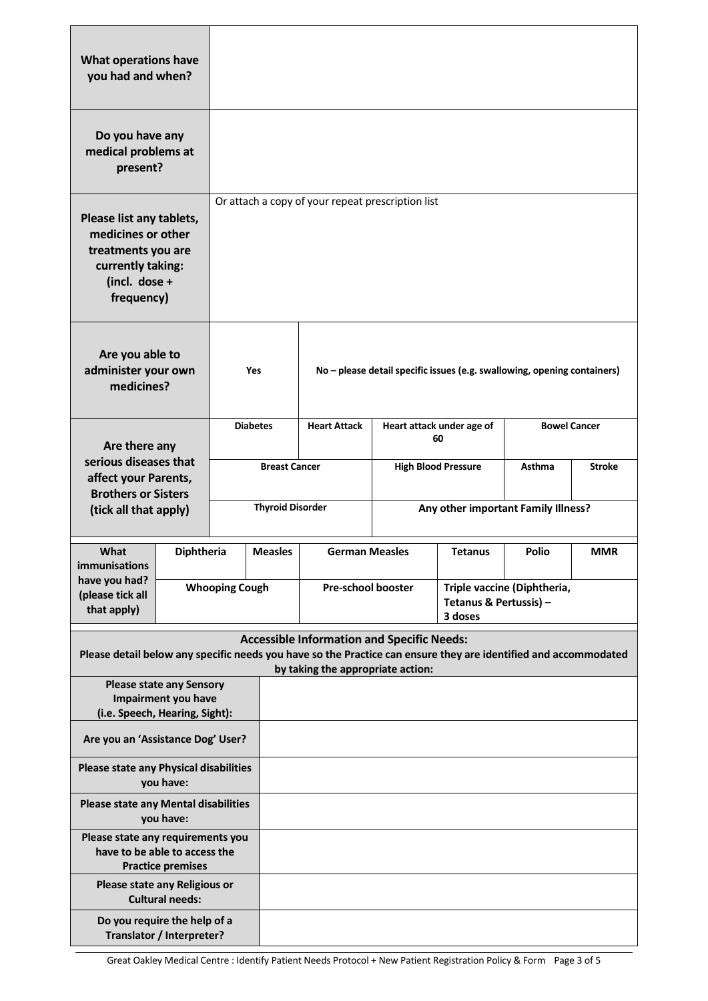| <b>What operations have</b><br>you had and when?                                                                                                                     |                                               |                         |                                   |                                                   |                                                                          |                                             |                                     |               |  |
|----------------------------------------------------------------------------------------------------------------------------------------------------------------------|-----------------------------------------------|-------------------------|-----------------------------------|---------------------------------------------------|--------------------------------------------------------------------------|---------------------------------------------|-------------------------------------|---------------|--|
| Do you have any<br>medical problems at<br>present?                                                                                                                   |                                               |                         |                                   |                                                   |                                                                          |                                             |                                     |               |  |
| Please list any tablets,<br>medicines or other<br>treatments you are<br>currently taking:<br>(incl. dose +<br>frequency)                                             |                                               |                         |                                   | Or attach a copy of your repeat prescription list |                                                                          |                                             |                                     |               |  |
| Are you able to<br>administer your own<br>medicines?                                                                                                                 |                                               |                         | <b>Yes</b>                        |                                                   | No - please detail specific issues (e.g. swallowing, opening containers) |                                             |                                     |               |  |
| Are there any                                                                                                                                                        |                                               | <b>Diabetes</b>         |                                   | <b>Heart Attack</b>                               | Heart attack under age of<br>60                                          |                                             | <b>Bowel Cancer</b>                 |               |  |
|                                                                                                                                                                      | serious diseases that<br>affect your Parents, |                         | <b>Breast Cancer</b>              |                                                   |                                                                          | <b>High Blood Pressure</b><br><b>Asthma</b> |                                     | <b>Stroke</b> |  |
| <b>Brothers or Sisters</b><br>(tick all that apply)                                                                                                                  |                                               | <b>Thyroid Disorder</b> |                                   |                                                   |                                                                          |                                             | Any other important Family Illness? |               |  |
| What<br>immunisations                                                                                                                                                | Diphtheria                                    |                         | <b>Measles</b>                    | <b>German Measles</b>                             |                                                                          | <b>Tetanus</b>                              |                                     | <b>MMR</b>    |  |
| have you had?<br>(please tick all<br>that apply)                                                                                                                     |                                               |                         | <b>Whooping Cough</b>             |                                                   | Pre-school booster<br>Tetanus & Pertussis) -<br>3 doses                  |                                             | Triple vaccine (Diphtheria,         |               |  |
| <b>Accessible Information and Specific Needs:</b><br>Please detail below any specific needs you have so the Practice can ensure they are identified and accommodated |                                               |                         |                                   |                                                   |                                                                          |                                             |                                     |               |  |
|                                                                                                                                                                      |                                               |                         | by taking the appropriate action: |                                                   |                                                                          |                                             |                                     |               |  |
| <b>Please state any Sensory</b><br>Impairment you have<br>(i.e. Speech, Hearing, Sight):                                                                             |                                               |                         |                                   |                                                   |                                                                          |                                             |                                     |               |  |
| Are you an 'Assistance Dog' User?                                                                                                                                    |                                               |                         |                                   |                                                   |                                                                          |                                             |                                     |               |  |
| <b>Please state any Physical disabilities</b><br>you have:                                                                                                           |                                               |                         |                                   |                                                   |                                                                          |                                             |                                     |               |  |
| <b>Please state any Mental disabilities</b><br>you have:                                                                                                             |                                               |                         |                                   |                                                   |                                                                          |                                             |                                     |               |  |
| Please state any requirements you<br>have to be able to access the<br><b>Practice premises</b>                                                                       |                                               |                         |                                   |                                                   |                                                                          |                                             |                                     |               |  |
| Please state any Religious or<br><b>Cultural needs:</b>                                                                                                              |                                               |                         |                                   |                                                   |                                                                          |                                             |                                     |               |  |
| Do you require the help of a<br>Translator / Interpreter?                                                                                                            |                                               |                         |                                   |                                                   |                                                                          |                                             |                                     |               |  |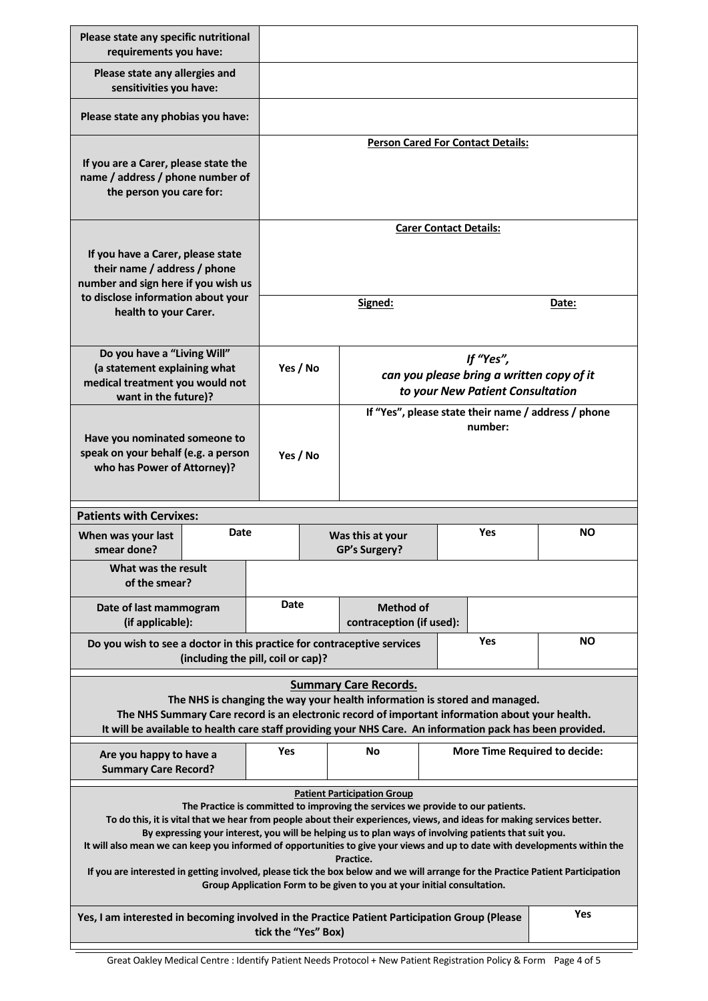| Please state any specific nutritional<br>requirements you have:                                                                                                                                                                                                                                                                                                                                                                                                                                                                                                                                                                                                                                                   |                                    |                                                      |                                                   |                                                                                            |  |            |           |  |
|-------------------------------------------------------------------------------------------------------------------------------------------------------------------------------------------------------------------------------------------------------------------------------------------------------------------------------------------------------------------------------------------------------------------------------------------------------------------------------------------------------------------------------------------------------------------------------------------------------------------------------------------------------------------------------------------------------------------|------------------------------------|------------------------------------------------------|---------------------------------------------------|--------------------------------------------------------------------------------------------|--|------------|-----------|--|
| Please state any allergies and<br>sensitivities you have:                                                                                                                                                                                                                                                                                                                                                                                                                                                                                                                                                                                                                                                         |                                    |                                                      |                                                   |                                                                                            |  |            |           |  |
| Please state any phobias you have:                                                                                                                                                                                                                                                                                                                                                                                                                                                                                                                                                                                                                                                                                |                                    |                                                      |                                                   |                                                                                            |  |            |           |  |
| If you are a Carer, please state the<br>name / address / phone number of<br>the person you care for:                                                                                                                                                                                                                                                                                                                                                                                                                                                                                                                                                                                                              |                                    |                                                      | <b>Person Cared For Contact Details:</b>          |                                                                                            |  |            |           |  |
| If you have a Carer, please state<br>their name / address / phone<br>number and sign here if you wish us<br>to disclose information about your                                                                                                                                                                                                                                                                                                                                                                                                                                                                                                                                                                    |                                    |                                                      | <b>Carer Contact Details:</b><br>Signed:<br>Date: |                                                                                            |  |            |           |  |
| health to your Carer.                                                                                                                                                                                                                                                                                                                                                                                                                                                                                                                                                                                                                                                                                             |                                    |                                                      |                                                   |                                                                                            |  |            |           |  |
| Do you have a "Living Will"<br>(a statement explaining what<br>medical treatment you would not<br>want in the future)?                                                                                                                                                                                                                                                                                                                                                                                                                                                                                                                                                                                            |                                    | Yes / No                                             |                                                   | If "Yes",<br>can you please bring a written copy of it<br>to your New Patient Consultation |  |            |           |  |
| Have you nominated someone to<br>speak on your behalf (e.g. a person<br>who has Power of Attorney)?                                                                                                                                                                                                                                                                                                                                                                                                                                                                                                                                                                                                               |                                    | Yes / No                                             |                                                   | If "Yes", please state their name / address / phone<br>number:                             |  |            |           |  |
| <b>Patients with Cervixes:</b>                                                                                                                                                                                                                                                                                                                                                                                                                                                                                                                                                                                                                                                                                    |                                    |                                                      |                                                   |                                                                                            |  |            |           |  |
| When was your last<br>smear done?                                                                                                                                                                                                                                                                                                                                                                                                                                                                                                                                                                                                                                                                                 | Date                               |                                                      |                                                   | Was this at your<br><b>GP's Surgery?</b>                                                   |  | <b>Yes</b> | NΟ        |  |
| What was the result<br>of the smear?                                                                                                                                                                                                                                                                                                                                                                                                                                                                                                                                                                                                                                                                              |                                    |                                                      |                                                   |                                                                                            |  |            |           |  |
| Date of last mammogram<br>(if applicable):                                                                                                                                                                                                                                                                                                                                                                                                                                                                                                                                                                                                                                                                        |                                    | Date<br><b>Method of</b><br>contraception (if used): |                                                   |                                                                                            |  |            |           |  |
| Do you wish to see a doctor in this practice for contraceptive services                                                                                                                                                                                                                                                                                                                                                                                                                                                                                                                                                                                                                                           | (including the pill, coil or cap)? |                                                      |                                                   |                                                                                            |  | Yes        | <b>NO</b> |  |
| <b>Summary Care Records.</b><br>The NHS is changing the way your health information is stored and managed.<br>The NHS Summary Care record is an electronic record of important information about your health.<br>It will be available to health care staff providing your NHS Care. An information pack has been provided.                                                                                                                                                                                                                                                                                                                                                                                        |                                    |                                                      |                                                   |                                                                                            |  |            |           |  |
| Are you happy to have a<br><b>Summary Care Record?</b>                                                                                                                                                                                                                                                                                                                                                                                                                                                                                                                                                                                                                                                            |                                    | Yes                                                  |                                                   | No<br><b>More Time Required to decide:</b>                                                 |  |            |           |  |
| <b>Patient Participation Group</b><br>The Practice is committed to improving the services we provide to our patients.<br>To do this, it is vital that we hear from people about their experiences, views, and ideas for making services better.<br>By expressing your interest, you will be helping us to plan ways of involving patients that suit you.<br>It will also mean we can keep you informed of opportunities to give your views and up to date with developments within the<br>Practice.<br>If you are interested in getting involved, please tick the box below and we will arrange for the Practice Patient Participation<br>Group Application Form to be given to you at your initial consultation. |                                    |                                                      |                                                   |                                                                                            |  |            |           |  |
| Yes<br>Yes, I am interested in becoming involved in the Practice Patient Participation Group (Please<br>tick the "Yes" Box)                                                                                                                                                                                                                                                                                                                                                                                                                                                                                                                                                                                       |                                    |                                                      |                                                   |                                                                                            |  |            |           |  |